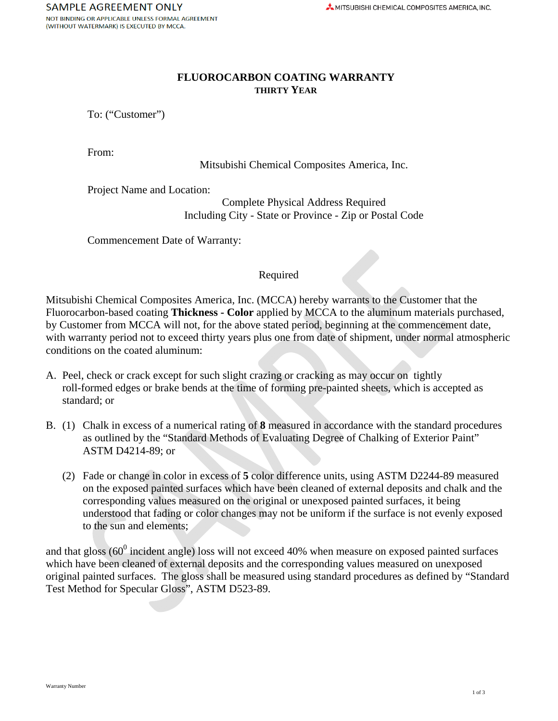# **FLUOROCARBON COATING WARRANTY THIRTY YEAR**

To: ("Customer")

From:

Mitsubishi Chemical Composites America, Inc.

Project Name and Location:

Complete Physical Address Required Including City - State or Province - Zip or Postal Code

Commencement Date of Warranty:

#### Required

Mitsubishi Chemical Composites America, Inc. (MCCA) hereby warrants to the Customer that the Fluorocarbon-based coating **Thickness - Color** applied by MCCA to the aluminum materials purchased, by Customer from MCCA will not, for the above stated period, beginning at the commencement date, with warranty period not to exceed thirty years plus one from date of shipment, under normal atmospheric conditions on the coated aluminum:

- A. Peel, check or crack except for such slight crazing or cracking as may occur on tightly roll-formed edges or brake bends at the time of forming pre-painted sheets, which is accepted as standard; or
- B. (1) Chalk in excess of a numerical rating of **8** measured in accordance with the standard procedures as outlined by the "Standard Methods of Evaluating Degree of Chalking of Exterior Paint" ASTM D4214-89; or
	- (2) Fade or change in color in excess of **5** color difference units, using ASTM D2244-89 measured on the exposed painted surfaces which have been cleaned of external deposits and chalk and the corresponding values measured on the original or unexposed painted surfaces, it being understood that fading or color changes may not be uniform if the surface is not evenly exposed to the sun and elements;

and that gloss ( $60^0$  incident angle) loss will not exceed 40% when measure on exposed painted surfaces which have been cleaned of external deposits and the corresponding values measured on unexposed original painted surfaces. The gloss shall be measured using standard procedures as defined by "Standard Test Method for Specular Gloss", ASTM D523-89.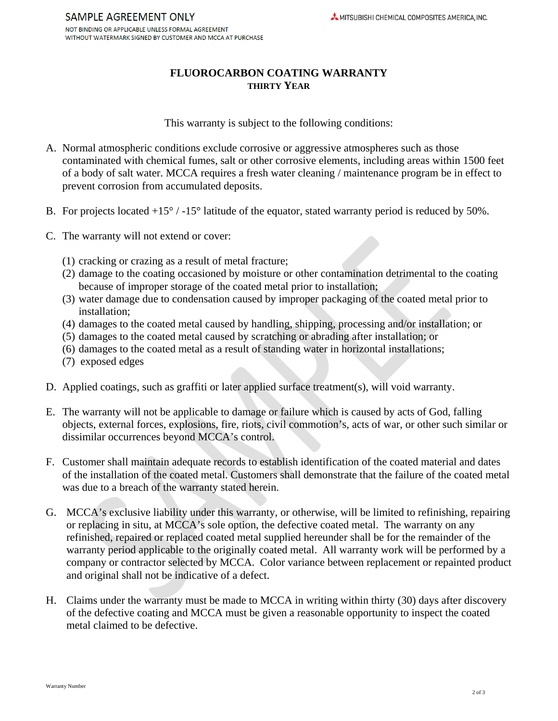## **FLUOROCARBON COATING WARRANTY THIRTY YEAR**

This warranty is subject to the following conditions:

- A. Normal atmospheric conditions exclude corrosive or aggressive atmospheres such as those contaminated with chemical fumes, salt or other corrosive elements, including areas within 1500 feet of a body of salt water. MCCA requires a fresh water cleaning / maintenance program be in effect to prevent corrosion from accumulated deposits.
- B. For projects located  $+15^{\circ}$  / -15° latitude of the equator, stated warranty period is reduced by 50%.
- C. The warranty will not extend or cover:
	- (1) cracking or crazing as a result of metal fracture;
	- (2) damage to the coating occasioned by moisture or other contamination detrimental to the coating because of improper storage of the coated metal prior to installation;
	- (3) water damage due to condensation caused by improper packaging of the coated metal prior to installation;
	- (4) damages to the coated metal caused by handling, shipping, processing and/or installation; or
	- (5) damages to the coated metal caused by scratching or abrading after installation; or
	- (6) damages to the coated metal as a result of standing water in horizontal installations;
	- (7) exposed edges
- D. Applied coatings, such as graffiti or later applied surface treatment(s), will void warranty.
- E. The warranty will not be applicable to damage or failure which is caused by acts of God, falling objects, external forces, explosions, fire, riots, civil commotion's, acts of war, or other such similar or dissimilar occurrences beyond MCCA's control.
- F. Customer shall maintain adequate records to establish identification of the coated material and dates of the installation of the coated metal. Customers shall demonstrate that the failure of the coated metal was due to a breach of the warranty stated herein.
- G. MCCA's exclusive liability under this warranty, or otherwise, will be limited to refinishing, repairing or replacing in situ, at MCCA's sole option, the defective coated metal. The warranty on any refinished, repaired or replaced coated metal supplied hereunder shall be for the remainder of the warranty period applicable to the originally coated metal. All warranty work will be performed by a company or contractor selected by MCCA. Color variance between replacement or repainted product and original shall not be indicative of a defect.
- H. Claims under the warranty must be made to MCCA in writing within thirty (30) days after discovery of the defective coating and MCCA must be given a reasonable opportunity to inspect the coated metal claimed to be defective.